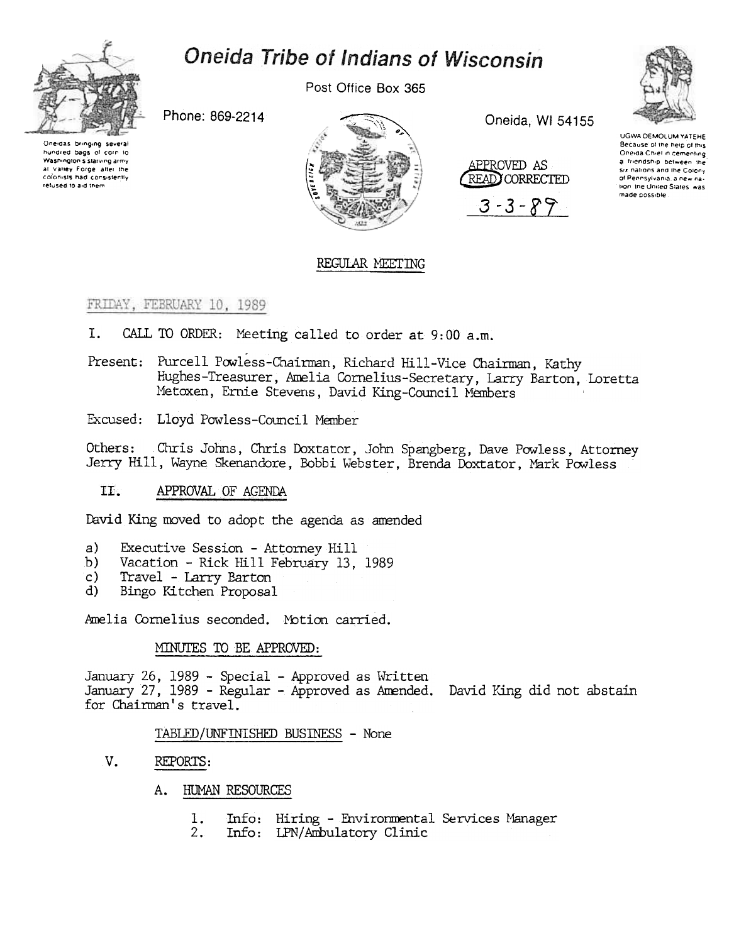

# Oneida Tribe of Indians of Wisconsin

Post Office Box 365

Phone: 869-2214

Oneidas bringing several hundred bags of corp to Washington's starving army at Valley Forge after the colonists had consistently refused to aid them



Oneida, WI 54155





**UGWA DEMOLUM YATEHE** Because of the help of this Oneida Chief in cementing a friendship between the Six nations and the Colony of Pennsylvania, a new nation, the United States, was made possible

# REGULAR MEETING

## FRIDAY, FEBRUARY 10, 1989

- I. CALL TO ORDER: Meeting called to order at 9:00 a.m.
- Present: Purcell Powless-Chairman, Richard Hill-Vice Chairman, Kathy Hughes-Treasurer, Amelia Cornelius-Secretary, Larry Barton, Loretta Metoxen, Ernie Stevens, David King-Council Members
- Excused: Lloyd Powless-Council Member

Others: Chris Johns, Chris Doxtator, John Spangberg, Dave Powless, Attorney Jerry Hill, Wayne Skenandore, Bobbi Webster, Brenda Doxtator, Mark Powless

 $TL$ . APPROVAL OF AGENDA

David King moved to adopt the agenda as amended

- $a)$ Executive Session - Attorney Hill
- Vacation Rick Hill February 13, 1989  $b)$
- $\mathsf{c}$ ) Travel - Larry Barton
- Bingo Kitchen Proposal  $\mathbf{d}$

Amelia Cornelius seconded. Motion carried.

## MINUTES TO BE APPROVED:

January 26, 1989 - Special - Approved as Written January 27, 1989 - Regular - Approved as Amended. David King did not abstain for Chairman's travel.

## TABLED/UNFINISHED BUSINESS - None

- V. REPORTS:
	- A. HUMAN RESOURCES
		- Info: Hiring Environmental Services Manager 1.
		- $2.$ Info: IPN/Ambulatory Clinic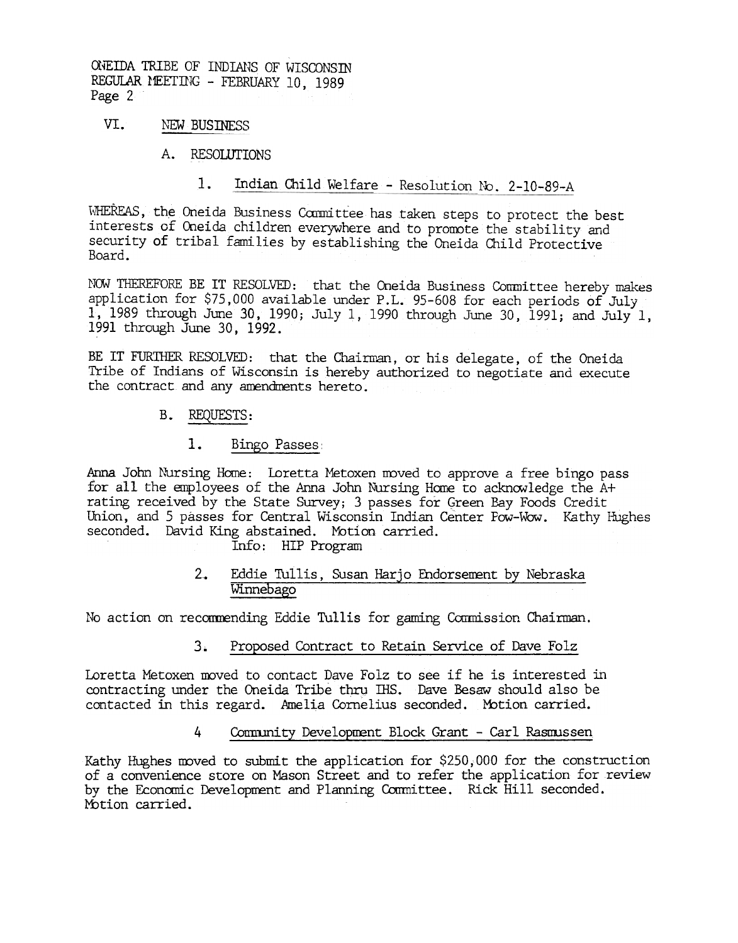ONEIDA TRIBE OF INDIANS OF WISCONSIN REGULAR MEETING - FEBRUARY 10, 1989 Page 2

#### VI. NEW BUSINESS

#### A. RESOLUTIONS

## 1. Indian Child Welfare - Resolution No. 2-10-89-A

WHEREAS, the Oneida Business Committee has taken steps to protect the best interests of Oneida children everywhere and to promote the stability and security of tribal families by establishing the Oneida Child Protective Board.

NOW THEREFORE BE IT RESOLVED: that the Oneida Business Committee hereby makes application for \$75,000 available under P.L. 95-608 for each periods of July 1, 1989 through June 30, 1990; July 1, 1990 through June 30, 1991; and July 1, 1991 through June 30, 1992.

BE IT FURTHER RESOLVED: that the Chairman, or his delegate, of the Oneida Tribe of Indians of Wisconsin is hereby authorized to negotiate and execute the contract and any amendments hereto.

# B. REQUESTS:

1. <u>Bingo Passes</u><br>Anna John Nursing Home: Loretta<br>for all the employees of the Ann<br>rating received by the State Sur<br>Union, and 5 passes for Central<br>seconded. David King abstained.<br>Info: HIP P<br>2. <u>Eddie Tullis Winnebago</u><br>No Anna John Nursing Home: Loretta Metoxen moved to approve a free bingo pass for all the employees of the Anna John Nursing Home to acknowledge the  $A+$ rating received by the State Survey; 3 passes for Green Bay Foods Credit Union, and 5 passes for Central Wisconsin Indian Center Pow-Wow. Kathy Hughes seconded. David King abstained. Motion carried.

Info: HIP Program

Eddie Tullis, Susan Harjo Endorsement by Nebraska Winnebago

No action on recommending Eddie Tullis for gaming Commission Chairman.

3. Proposed Contract to Retain Service of Dave Folz

Loretta Metoxen moved to contact Dave Folz to see if he is interested in contracting under the Oneida Tribe thru IHS. Dave Besaw should also be contacted in this regard. Amelia Cornelius seconded. Mbtion carried.

# 4 Community Development Block Grant - Carl Rasmussen

Kathy Hughes moved to submit the application for  $$250,000$  for the construction of a convenience store on Mason Street and to refer the application for review by the Economic Development and Planning Committee. Rick Hill seconded. Motion carried.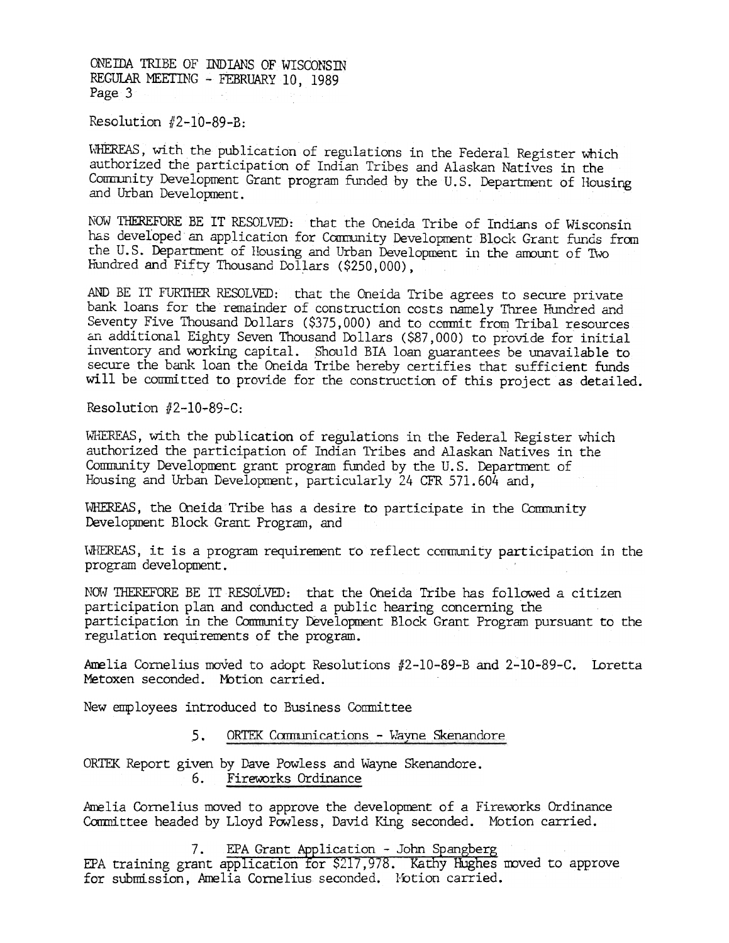ONE IDA TRIBE OF INDIANS OF WISCONSTN REGULAR MEETING - FEBRUARY 10, 1989 Page 3

Resolution  $#2-10-89-B$ :

WHEREAS, with the publication of regulations in the Federal Register which authorized the participation of Indian Tribes and Alaskan Natives in the Community Development Grant program funded by the U.S. Department of Housing and Urban Development.

NOW THEREFORE BE IT RESOLVED: that the Oneida Tribe of Indians of Wisconsin has developed an application for Community Development Block Grant funds from the U.S. Department of Housing and Urban Development in the amount of Two Hundred and Fifty Thousand Dollars (\$250,000),

AND BE IT FURTHER RESOLVED: that the Oneida Tribe agrees to secure private bank loans for the remainder of construction costs namely Three Hundred and Seventy Five Thousand Dollars (\$375,000) and to commit from Tribal resources an additional Eighty Seven Thousand Dollars (\$87,000) to provide for initial inventory and working capital. Should BIA loan guarantees be unavailable to secure the bank loan the Oneida Tribe hereby certifies that sufficient funds will be committed to provide for the construction of this project as detailed.

Resolution  $#2-10-89-C$ :

WHEREAS, with the publication of regulations in the Federal Register which authorized the participation of Indian Tribes and Alaskan Natives in the Community Development grant program funded by the U.S. Department of Housing and Urban Development, particularly 24 CFR 571.604 and.

WHEREAS, the Oneida Tribe has a desire to participate in the Community Development Block Grant Program, and

WHEREAS, it is a program requirement to reflect community participation in the program development.

NOW THEREFORE BE IT RESOLVED: that the Oneida Tribe has followed a citizen participation plan and conducted a public hearing concerning the participation in the Community Development Block Grant Program pursuant to the regulation requirements of the program.

Amelia Cornelius moved to adopt Resolutions #2-10-89-B and 2-10-89-C. Loretta Metoxen seconded. Motion carried.

New employees introduced to Business Committee

#### $5.$ ORTEK Communications - Wayne Skenandore

ORTEK Report given by Dave Powless and Wayne Skenandore. 6. Fireworks Ordinance

Amelia Cornelius moved to approve the development of a Fireworks Ordinance Committee headed by Lloyd Powless, David King seconded. Motion carried.

7. EPA Grant Application - John Spangberg EPA training grant application for \$217,978. Kathy Hughes moved to approve for submission, Amelia Cornelius seconded. Notion carried.